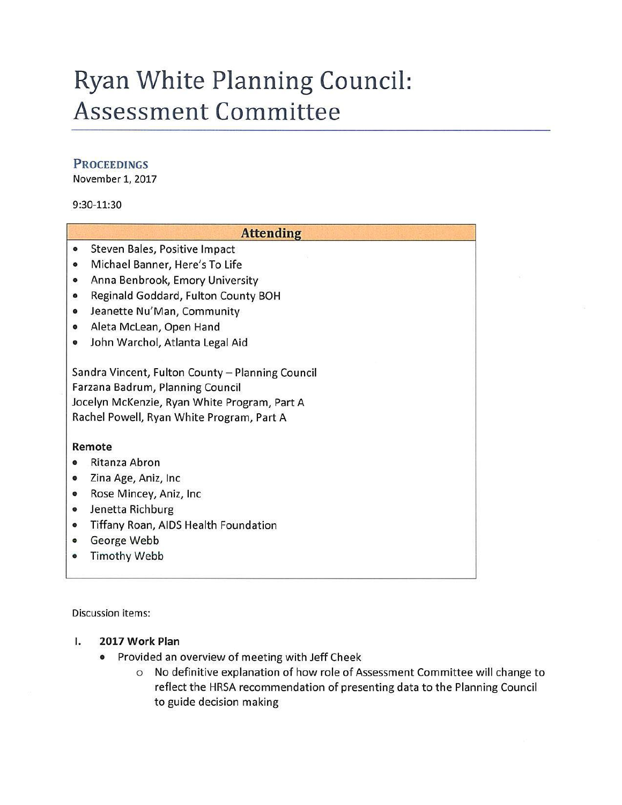## **Ryan White Planning Council: Assessment Committee**

### **PROCEEDINGS**

November 1, 2017

#### 9:30-11:30

|                                              | <b>Attending</b>                                 |
|----------------------------------------------|--------------------------------------------------|
| $\bullet$                                    | Steven Bales, Positive Impact                    |
| $\bullet$                                    | Michael Banner, Here's To Life                   |
| $\bullet$                                    | Anna Benbrook, Emory University                  |
| ۰                                            | Reginald Goddard, Fulton County BOH              |
| $\bullet$                                    | Jeanette Nu'Man, Community                       |
| $\bullet$                                    | Aleta McLean, Open Hand                          |
| $\bullet$                                    | John Warchol, Atlanta Legal Aid                  |
|                                              | Sandra Vincent, Fulton County - Planning Council |
| Farzana Badrum, Planning Council             |                                                  |
| Jocelyn McKenzie, Ryan White Program, Part A |                                                  |
|                                              | Rachel Powell, Ryan White Program, Part A        |
|                                              | Remote                                           |
| ٠                                            | Ritanza Abron                                    |
| ۰                                            | Zina Age, Aniz, Inc                              |
| $\bullet$                                    | Rose Mincey, Aniz, Inc.                          |
| $\bullet$                                    | Jenetta Richburg                                 |
| $\bullet$                                    | Tiffany Roan, AIDS Health Foundation             |
| ۰                                            | George Webb                                      |
|                                              | <b>Timothy Webb</b>                              |

Discussion items:

- I. **2017 Work Plan** 
	- Provided an overview of meeting with Jeff Cheek
		- o No definitive explanation of how role of Assessment Committee will change to reflect the HRSA recommendation of presenting data to the Planning Council to guide decision making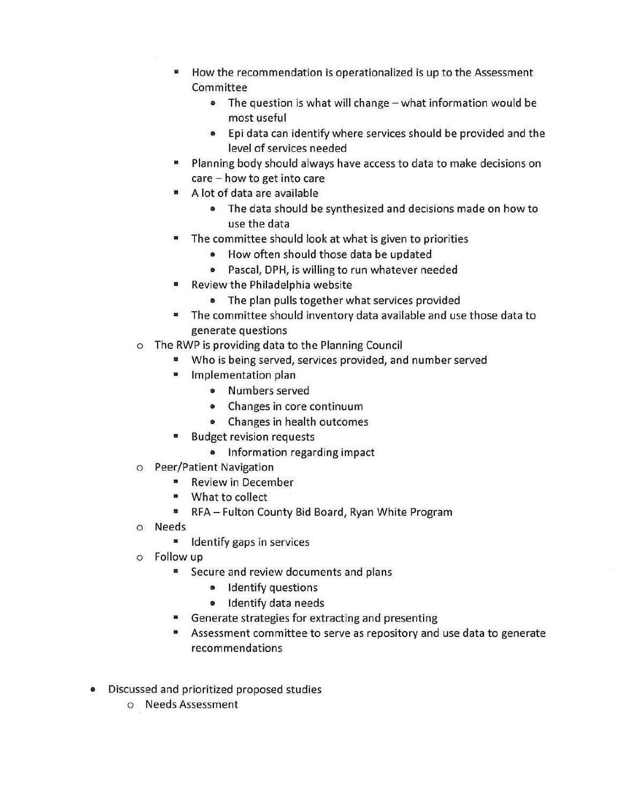- How the recommendation is operationalized is up to the Assessment Committee
	- The question is what will change what information would be most useful
	- Epi data can identify where services should be provided and the level of services needed
- Planning body should always have access to data to make decisions on care - how to get into care
- A lot of data are available
	- The data should be synthesized and decisions made on how to use the data
- The committee should look at what is given to priorities
	- How often should those data be updated
	- Pascal, DPH, is willing to run whatever needed
- Review the Philadelphia website
	- The plan pulls together what services provided
- The committee should inventory data available and use those data to generate questions
- o The RWP is providing data to the Planning Council
	- Who is being served, services provided, and number served
	- Implementation plan
		- Numbers served
		- Changes in core continuum
		- Changes in health outcomes
	- Budget revision requests
		- Information regarding impact
- o Peer/Patient Navigation
	- Review in December
	- What to collect
	- RFA Fulton County Bid Board, Ryan White Program
- o Needs
	- Identify gaps in services
- o Follow up
	- Secure and review documents and plans
		- Identify questions
		- Identify data needs
	- Generate strategies for extracting and presenting
	- Assessment committee to serve as repository and use data to generate recommendations
- Discussed and prioritized proposed studies
	- o Needs Assessment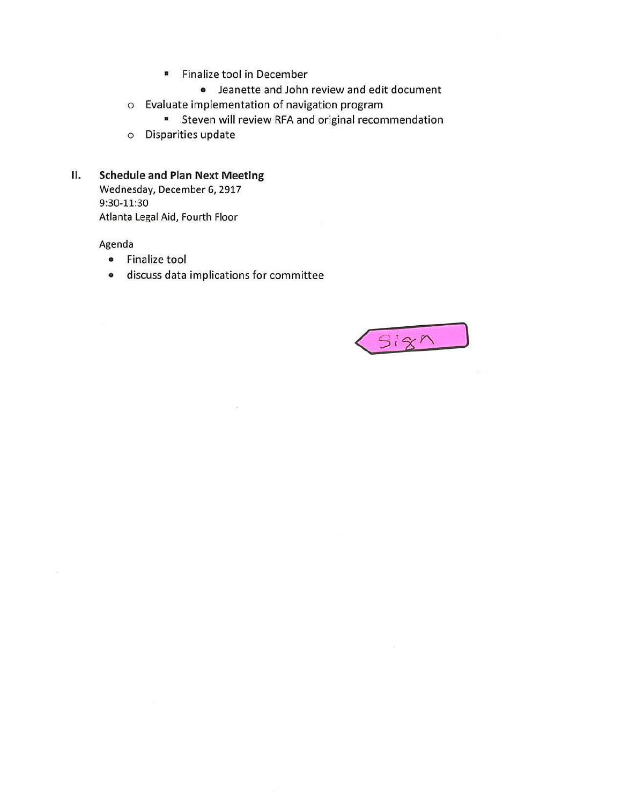- Finalize tool in December
	- Jeanette and John review and edit document
- o Evaluate implementation of navigation program
	- Steven will review RFA and original recommendation
- o Disparities update

### **II. Schedule and Plan Next Meeting**

Wednesday, December 6, 2917 9:30-11:30 Atlanta Legal Aid, Fourth Floor

Agenda

- Finalize tool
- discuss data implications for committee